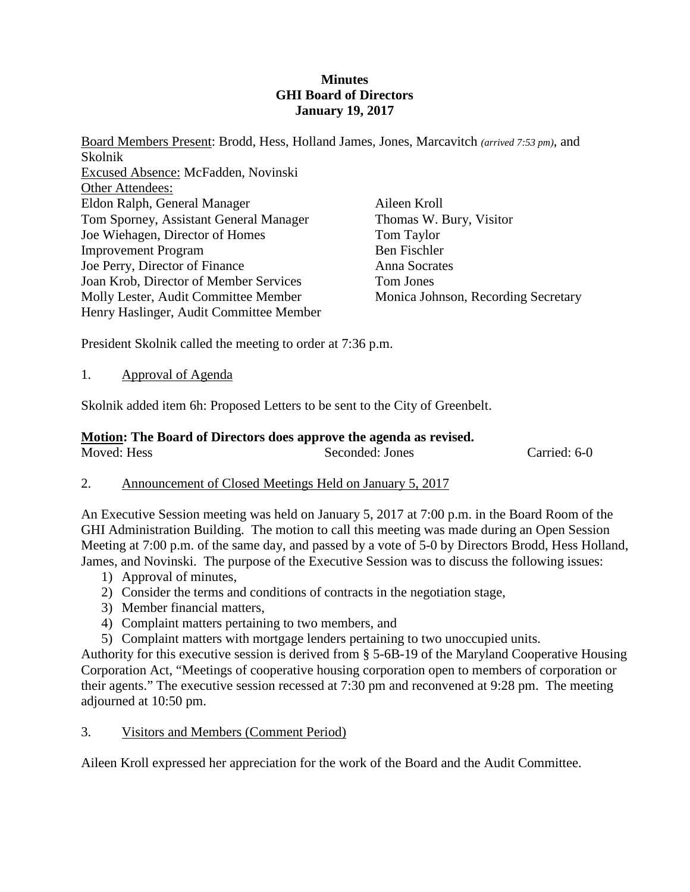### **Minutes GHI Board of Directors January 19, 2017**

Board Members Present: Brodd, Hess, Holland James, Jones, Marcavitch *(arrived 7:53 pm)*, and Skolnik Excused Absence: McFadden, Novinski Other Attendees: Eldon Ralph, General Manager Tom Sporney, Assistant General Manager Joe Wiehagen, Director of Homes Improvement Program Joe Perry, Director of Finance Joan Krob, Director of Member Services Molly Lester, Audit Committee Member Henry Haslinger, Audit Committee Member Aileen Kroll Thomas W. Bury, Visitor Tom Taylor Ben Fischler Anna Socrates Tom Jones Monica Johnson, Recording Secretary

President Skolnik called the meeting to order at 7:36 p.m.

1. Approval of Agenda

Skolnik added item 6h: Proposed Letters to be sent to the City of Greenbelt.

#### **Motion: The Board of Directors does approve the agenda as revised.** Moved: Hess Seconded: Jones Carried: 6-0

### 2. Announcement of Closed Meetings Held on January 5, 2017

An Executive Session meeting was held on January 5, 2017 at 7:00 p.m. in the Board Room of the GHI Administration Building. The motion to call this meeting was made during an Open Session Meeting at 7:00 p.m. of the same day, and passed by a vote of 5-0 by Directors Brodd, Hess Holland, James, and Novinski. The purpose of the Executive Session was to discuss the following issues:

- 1) Approval of minutes,
- 2) Consider the terms and conditions of contracts in the negotiation stage,
- 3) Member financial matters,
- 4) Complaint matters pertaining to two members, and
- 5) Complaint matters with mortgage lenders pertaining to two unoccupied units.

Authority for this executive session is derived from § 5-6B-19 of the Maryland Cooperative Housing Corporation Act, "Meetings of cooperative housing corporation open to members of corporation or their agents." The executive session recessed at 7:30 pm and reconvened at 9:28 pm. The meeting adjourned at 10:50 pm.

### 3. Visitors and Members (Comment Period)

Aileen Kroll expressed her appreciation for the work of the Board and the Audit Committee.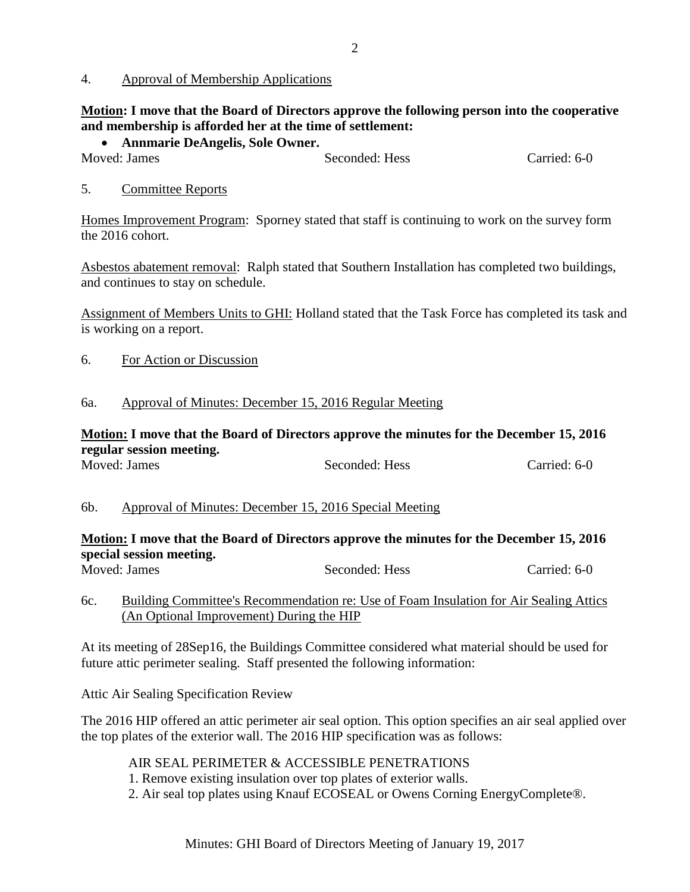### 4. Approval of Membership Applications

# **Motion: I move that the Board of Directors approve the following person into the cooperative and membership is afforded her at the time of settlement:**

• **Annmarie DeAngelis, Sole Owner.**

Seconded: Hess Carried: 6-0

# 5. Committee Reports

Homes Improvement Program: Sporney stated that staff is continuing to work on the survey form the 2016 cohort.

Asbestos abatement removal: Ralph stated that Southern Installation has completed two buildings, and continues to stay on schedule.

Assignment of Members Units to GHI: Holland stated that the Task Force has completed its task and is working on a report.

6. For Action or Discussion

### 6a. Approval of Minutes: December 15, 2016 Regular Meeting

# **Motion: I move that the Board of Directors approve the minutes for the December 15, 2016 regular session meeting.**

| Moved: James | Seconded: Hess | Carried: 6-0 |
|--------------|----------------|--------------|
|              |                |              |

### 6b. Approval of Minutes: December 15, 2016 Special Meeting

# **Motion: I move that the Board of Directors approve the minutes for the December 15, 2016 special session meeting.**

Moved: James Seconded: Hess Carried: 6-0

# 6c. Building Committee's Recommendation re: Use of Foam Insulation for Air Sealing Attics (An Optional Improvement) During the HIP

At its meeting of 28Sep16, the Buildings Committee considered what material should be used for future attic perimeter sealing. Staff presented the following information:

Attic Air Sealing Specification Review

The 2016 HIP offered an attic perimeter air seal option. This option specifies an air seal applied over the top plates of the exterior wall. The 2016 HIP specification was as follows:

AIR SEAL PERIMETER & ACCESSIBLE PENETRATIONS

- 1. Remove existing insulation over top plates of exterior walls.
- 2. Air seal top plates using Knauf ECOSEAL or Owens Corning EnergyComplete®.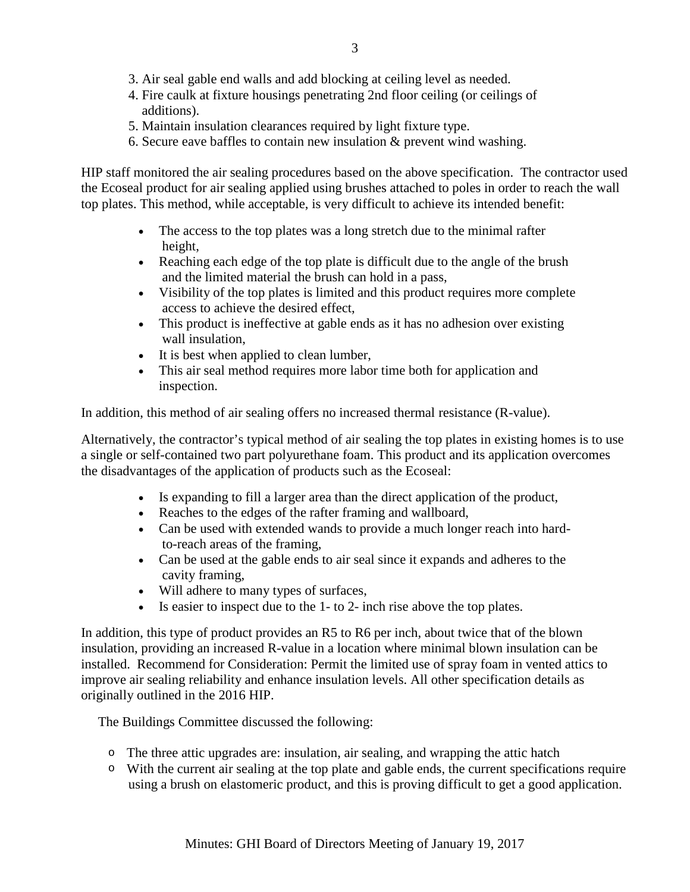- 3. Air seal gable end walls and add blocking at ceiling level as needed.
- 4. Fire caulk at fixture housings penetrating 2nd floor ceiling (or ceilings of additions).
- 5. Maintain insulation clearances required by light fixture type.
- 6. Secure eave baffles to contain new insulation & prevent wind washing.

HIP staff monitored the air sealing procedures based on the above specification. The contractor used the Ecoseal product for air sealing applied using brushes attached to poles in order to reach the wall top plates. This method, while acceptable, is very difficult to achieve its intended benefit:

- The access to the top plates was a long stretch due to the minimal rafter height,
- Reaching each edge of the top plate is difficult due to the angle of the brush and the limited material the brush can hold in a pass,
- Visibility of the top plates is limited and this product requires more complete access to achieve the desired effect,
- This product is ineffective at gable ends as it has no adhesion over existing wall insulation,
- It is best when applied to clean lumber,
- This air seal method requires more labor time both for application and inspection.

In addition, this method of air sealing offers no increased thermal resistance (R-value).

Alternatively, the contractor's typical method of air sealing the top plates in existing homes is to use a single or self-contained two part polyurethane foam. This product and its application overcomes the disadvantages of the application of products such as the Ecoseal:

- Is expanding to fill a larger area than the direct application of the product,
- Reaches to the edges of the rafter framing and wallboard,
- Can be used with extended wands to provide a much longer reach into hardto-reach areas of the framing,
- Can be used at the gable ends to air seal since it expands and adheres to the cavity framing,
- Will adhere to many types of surfaces,
- Is easier to inspect due to the 1- to 2- inch rise above the top plates.

In addition, this type of product provides an R5 to R6 per inch, about twice that of the blown insulation, providing an increased R-value in a location where minimal blown insulation can be installed. Recommend for Consideration: Permit the limited use of spray foam in vented attics to improve air sealing reliability and enhance insulation levels. All other specification details as originally outlined in the 2016 HIP.

The Buildings Committee discussed the following:

- o The three attic upgrades are: insulation, air sealing, and wrapping the attic hatch
- o With the current air sealing at the top plate and gable ends, the current specifications require using a brush on elastomeric product, and this is proving difficult to get a good application.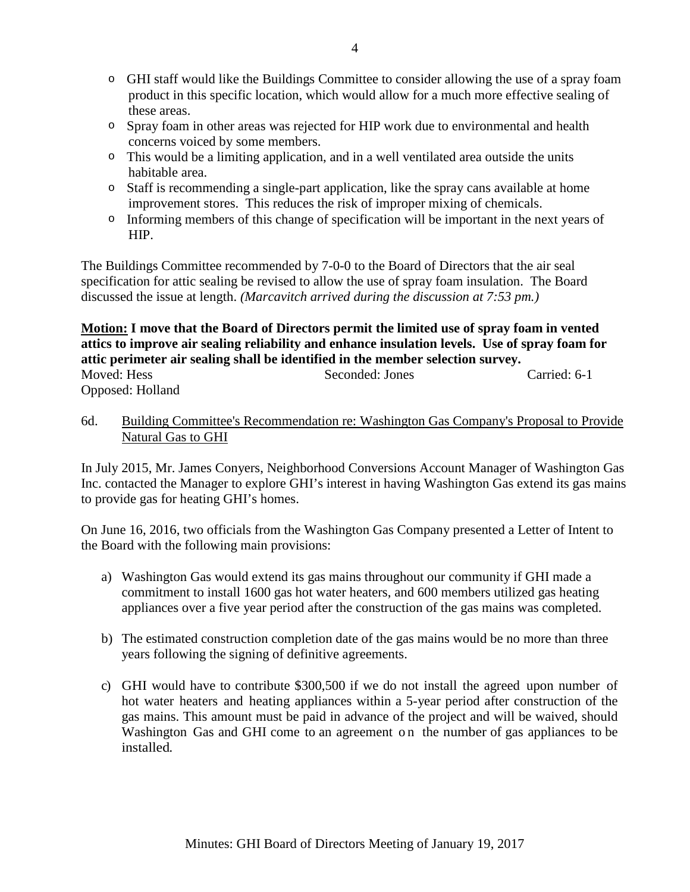- o GHI staff would like the Buildings Committee to consider allowing the use of a spray foam product in this specific location, which would allow for a much more effective sealing of these areas.
- o Spray foam in other areas was rejected for HIP work due to environmental and health concerns voiced by some members.
- o This would be a limiting application, and in a well ventilated area outside the units habitable area.
- $\circ$  Staff is recommending a single-part application, like the spray cans available at home improvement stores. This reduces the risk of improper mixing of chemicals.
- o Informing members of this change of specification will be important in the next years of HIP.

The Buildings Committee recommended by 7-0-0 to the Board of Directors that the air seal specification for attic sealing be revised to allow the use of spray foam insulation. The Board discussed the issue at length. *(Marcavitch arrived during the discussion at 7:53 pm.)*

# **Motion: I move that the Board of Directors permit the limited use of spray foam in vented attics to improve air sealing reliability and enhance insulation levels. Use of spray foam for attic perimeter air sealing shall be identified in the member selection survey.**

| Moved: Hess      | Seconded: Jones | Carried: 6-1 |
|------------------|-----------------|--------------|
| Opposed: Holland |                 |              |

# 6d. Building Committee's Recommendation re: Washington Gas Company's Proposal to Provide Natural Gas to GHI

In July 2015, Mr. James Conyers, Neighborhood Conversions Account Manager of Washington Gas Inc. contacted the Manager to explore GHI's interest in having Washington Gas extend its gas mains to provide gas for heating GHI's homes.

On June 16, 2016, two officials from the Washington Gas Company presented a Letter of Intent to the Board with the following main provisions:

- a) Washington Gas would extend its gas mains throughout our community if GHI made a commitment to install 1600 gas hot water heaters, and 600 members utilized gas heating appliances over a five year period after the construction of the gas mains was completed.
- b) The estimated construction completion date of the gas mains would be no more than three years following the signing of definitive agreements.
- c) GHI would have to contribute \$300,500 if we do not install the agreed upon number of hot water heaters and heating appliances within a 5-year period after construction of the gas mains. This amount must be paid in advance of the project and will be waived, should Washington Gas and GHI come to an agreement on the number of gas appliances to be installed.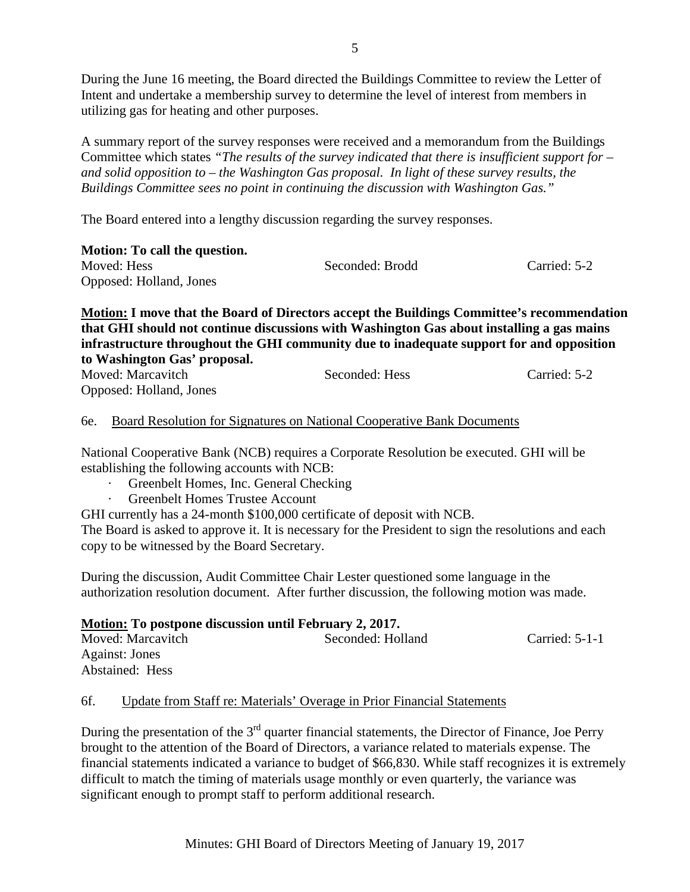During the June 16 meeting, the Board directed the Buildings Committee to review the Letter of Intent and undertake a membership survey to determine the level of interest from members in utilizing gas for heating and other purposes.

A summary report of the survey responses were received and a memorandum from the Buildings Committee which states *"The results of the survey indicated that there is insufficient support for – and solid opposition to – the Washington Gas proposal. In light of these survey results, the Buildings Committee sees no point in continuing the discussion with Washington Gas."*

The Board entered into a lengthy discussion regarding the survey responses.

| Motion: To call the question. |                 |              |
|-------------------------------|-----------------|--------------|
| Moved: Hess                   | Seconded: Brodd | Carried: 5-2 |
| Opposed: Holland, Jones       |                 |              |

**Motion: I move that the Board of Directors accept the Buildings Committee's recommendation that GHI should not continue discussions with Washington Gas about installing a gas mains infrastructure throughout the GHI community due to inadequate support for and opposition to Washington Gas' proposal.** 

| Moved: Marcavitch       | Seconded: Hess | Carried: 5-2 |
|-------------------------|----------------|--------------|
| Opposed: Holland, Jones |                |              |

# 6e. Board Resolution for Signatures on National Cooperative Bank Documents

National Cooperative Bank (NCB) requires a Corporate Resolution be executed. GHI will be establishing the following accounts with NCB:

- · Greenbelt Homes, Inc. General Checking
	- Greenbelt Homes Trustee Account

GHI currently has a 24-month \$100,000 certificate of deposit with NCB.

The Board is asked to approve it. It is necessary for the President to sign the resolutions and each copy to be witnessed by the Board Secretary.

During the discussion, Audit Committee Chair Lester questioned some language in the authorization resolution document. After further discussion, the following motion was made.

**Motion: To postpone discussion until February 2, 2017.** Moved: Marcavitch Seconded: Holland Carried: 5-1-1 Against: Jones Abstained: Hess

### 6f. Update from Staff re: Materials' Overage in Prior Financial Statements

During the presentation of the  $3<sup>rd</sup>$  quarter financial statements, the Director of Finance, Joe Perry brought to the attention of the Board of Directors, a variance related to materials expense. The financial statements indicated a variance to budget of \$66,830. While staff recognizes it is extremely difficult to match the timing of materials usage monthly or even quarterly, the variance was significant enough to prompt staff to perform additional research.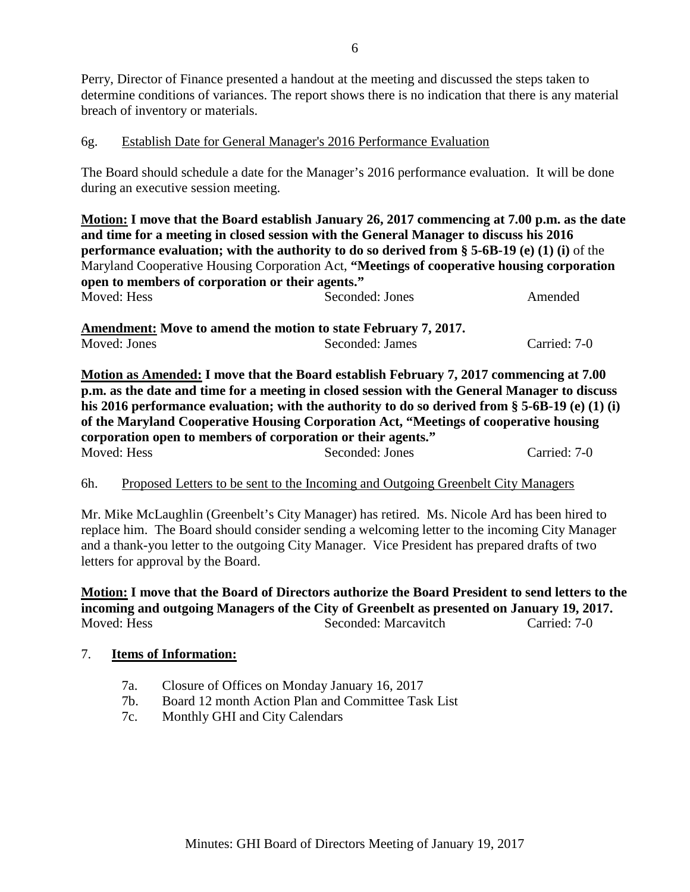Perry, Director of Finance presented a handout at the meeting and discussed the steps taken to determine conditions of variances. The report shows there is no indication that there is any material breach of inventory or materials.

# 6g. Establish Date for General Manager's 2016 Performance Evaluation

The Board should schedule a date for the Manager's 2016 performance evaluation. It will be done during an executive session meeting.

**Motion: I move that the Board establish January 26, 2017 commencing at 7.00 p.m. as the date and time for a meeting in closed session with the General Manager to discuss his 2016 performance evaluation; with the authority to do so derived from § 5-6B-19 (e) (1) (i)** of the Maryland Cooperative Housing Corporation Act, **"Meetings of cooperative housing corporation open to members of corporation or their agents."**  Moved: Hess Seconded: Jones Amended

Amendment: Move to amend the motion to state February 7, 2017.<br>Moved: Jones Seconded: James Carried: 7-0

**Motion as Amended: I move that the Board establish February 7, 2017 commencing at 7.00 p.m. as the date and time for a meeting in closed session with the General Manager to discuss his 2016 performance evaluation; with the authority to do so derived from § 5-6B-19 (e) (1) (i) of the Maryland Cooperative Housing Corporation Act, "Meetings of cooperative housing corporation open to members of corporation or their agents."**  Moved: Hess Seconded: Jones Carried: 7-0

### 6h. Proposed Letters to be sent to the Incoming and Outgoing Greenbelt City Managers

Mr. Mike McLaughlin (Greenbelt's City Manager) has retired. Ms. Nicole Ard has been hired to replace him. The Board should consider sending a welcoming letter to the incoming City Manager and a thank-you letter to the outgoing City Manager. Vice President has prepared drafts of two letters for approval by the Board.

**Motion: I move that the Board of Directors authorize the Board President to send letters to the incoming and outgoing Managers of the City of Greenbelt as presented on January 19, 2017.** Moved: Hess Seconded: Marcavitch Carried: 7-0

### 7. **Items of Information:**

- 7a. Closure of Offices on Monday January 16, 2017
- 7b. Board 12 month Action Plan and Committee Task List
- 7c. Monthly GHI and City Calendars